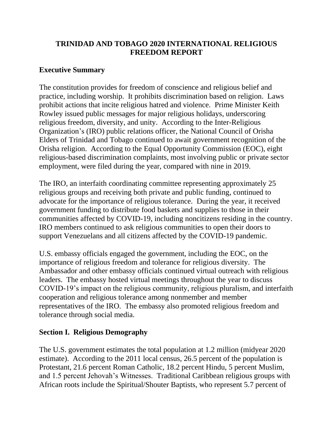# **TRINIDAD AND TOBAGO 2020 INTERNATIONAL RELIGIOUS FREEDOM REPORT**

## **Executive Summary**

The constitution provides for freedom of conscience and religious belief and practice, including worship. It prohibits discrimination based on religion. Laws prohibit actions that incite religious hatred and violence. Prime Minister Keith Rowley issued public messages for major religious holidays, underscoring religious freedom, diversity, and unity. According to the Inter-Religious Organization's (IRO) public relations officer, the National Council of Orisha Elders of Trinidad and Tobago continued to await government recognition of the Orisha religion. According to the Equal Opportunity Commission (EOC), eight religious-based discrimination complaints, most involving public or private sector employment, were filed during the year, compared with nine in 2019.

The IRO, an interfaith coordinating committee representing approximately 25 religious groups and receiving both private and public funding, continued to advocate for the importance of religious tolerance. During the year, it received government funding to distribute food baskets and supplies to those in their communities affected by COVID-19, including noncitizens residing in the country. IRO members continued to ask religious communities to open their doors to support Venezuelans and all citizens affected by the COVID-19 pandemic.

U.S. embassy officials engaged the government, including the EOC, on the importance of religious freedom and tolerance for religious diversity. The Ambassador and other embassy officials continued virtual outreach with religious leaders. The embassy hosted virtual meetings throughout the year to discuss COVID-19's impact on the religious community, religious pluralism, and interfaith cooperation and religious tolerance among nonmember and member representatives of the IRO. The embassy also promoted religious freedom and tolerance through social media.

## **Section I. Religious Demography**

The U.S. government estimates the total population at 1.2 million (midyear 2020 estimate). According to the 2011 local census, 26.5 percent of the population is Protestant, 21.6 percent Roman Catholic, 18.2 percent Hindu, 5 percent Muslim, and 1.5 percent Jehovah's Witnesses. Traditional Caribbean religious groups with African roots include the Spiritual/Shouter Baptists, who represent 5.7 percent of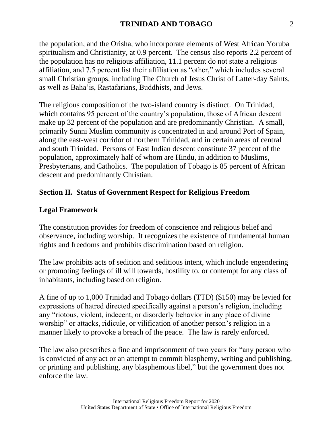the population, and the Orisha, who incorporate elements of West African Yoruba spiritualism and Christianity, at 0.9 percent. The census also reports 2.2 percent of the population has no religious affiliation, 11.1 percent do not state a religious affiliation, and 7.5 percent list their affiliation as "other," which includes several small Christian groups, including The Church of Jesus Christ of Latter-day Saints, as well as Baha'is, Rastafarians, Buddhists, and Jews.

The religious composition of the two-island country is distinct. On Trinidad, which contains 95 percent of the country's population, those of African descent make up 32 percent of the population and are predominantly Christian. A small, primarily Sunni Muslim community is concentrated in and around Port of Spain, along the east-west corridor of northern Trinidad, and in certain areas of central and south Trinidad. Persons of East Indian descent constitute 37 percent of the population, approximately half of whom are Hindu, in addition to Muslims, Presbyterians, and Catholics. The population of Tobago is 85 percent of African descent and predominantly Christian.

### **Section II. Status of Government Respect for Religious Freedom**

#### **Legal Framework**

The constitution provides for freedom of conscience and religious belief and observance, including worship. It recognizes the existence of fundamental human rights and freedoms and prohibits discrimination based on religion.

The law prohibits acts of sedition and seditious intent, which include engendering or promoting feelings of ill will towards, hostility to, or contempt for any class of inhabitants, including based on religion.

A fine of up to 1,000 Trinidad and Tobago dollars (TTD) (\$150) may be levied for expressions of hatred directed specifically against a person's religion, including any "riotous, violent, indecent, or disorderly behavior in any place of divine worship" or attacks, ridicule, or vilification of another person's religion in a manner likely to provoke a breach of the peace. The law is rarely enforced.

The law also prescribes a fine and imprisonment of two years for "any person who is convicted of any act or an attempt to commit blasphemy, writing and publishing, or printing and publishing, any blasphemous libel," but the government does not enforce the law.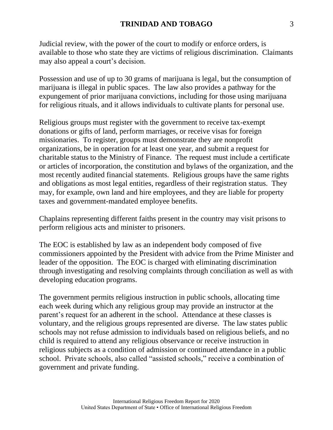Judicial review, with the power of the court to modify or enforce orders, is available to those who state they are victims of religious discrimination. Claimants may also appeal a court's decision.

Possession and use of up to 30 grams of marijuana is legal, but the consumption of marijuana is illegal in public spaces. The law also provides a pathway for the expungement of prior marijuana convictions, including for those using marijuana for religious rituals, and it allows individuals to cultivate plants for personal use.

Religious groups must register with the government to receive tax-exempt donations or gifts of land, perform marriages, or receive visas for foreign missionaries. To register, groups must demonstrate they are nonprofit organizations, be in operation for at least one year, and submit a request for charitable status to the Ministry of Finance. The request must include a certificate or articles of incorporation, the constitution and bylaws of the organization, and the most recently audited financial statements. Religious groups have the same rights and obligations as most legal entities, regardless of their registration status. They may, for example, own land and hire employees, and they are liable for property taxes and government-mandated employee benefits.

Chaplains representing different faiths present in the country may visit prisons to perform religious acts and minister to prisoners.

The EOC is established by law as an independent body composed of five commissioners appointed by the President with advice from the Prime Minister and leader of the opposition. The EOC is charged with eliminating discrimination through investigating and resolving complaints through conciliation as well as with developing education programs.

The government permits religious instruction in public schools, allocating time each week during which any religious group may provide an instructor at the parent's request for an adherent in the school. Attendance at these classes is voluntary, and the religious groups represented are diverse. The law states public schools may not refuse admission to individuals based on religious beliefs, and no child is required to attend any religious observance or receive instruction in religious subjects as a condition of admission or continued attendance in a public school. Private schools, also called "assisted schools," receive a combination of government and private funding.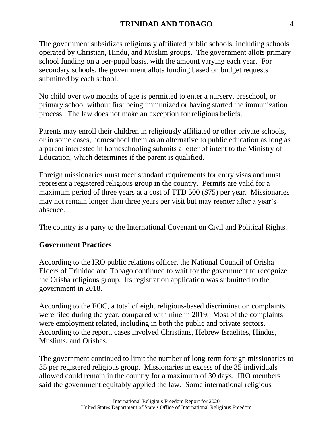The government subsidizes religiously affiliated public schools, including schools operated by Christian, Hindu, and Muslim groups. The government allots primary school funding on a per-pupil basis, with the amount varying each year. For secondary schools, the government allots funding based on budget requests submitted by each school.

No child over two months of age is permitted to enter a nursery, preschool, or primary school without first being immunized or having started the immunization process. The law does not make an exception for religious beliefs.

Parents may enroll their children in religiously affiliated or other private schools, or in some cases, homeschool them as an alternative to public education as long as a parent interested in homeschooling submits a letter of intent to the Ministry of Education, which determines if the parent is qualified.

Foreign missionaries must meet standard requirements for entry visas and must represent a registered religious group in the country. Permits are valid for a maximum period of three years at a cost of TTD 500 (\$75) per year. Missionaries may not remain longer than three years per visit but may reenter after a year's absence.

The country is a party to the International Covenant on Civil and Political Rights.

## **Government Practices**

According to the IRO public relations officer, the National Council of Orisha Elders of Trinidad and Tobago continued to wait for the government to recognize the Orisha religious group. Its registration application was submitted to the government in 2018.

According to the EOC, a total of eight religious-based discrimination complaints were filed during the year, compared with nine in 2019. Most of the complaints were employment related, including in both the public and private sectors. According to the report, cases involved Christians, Hebrew Israelites, Hindus, Muslims, and Orishas.

The government continued to limit the number of long-term foreign missionaries to 35 per registered religious group. Missionaries in excess of the 35 individuals allowed could remain in the country for a maximum of 30 days. IRO members said the government equitably applied the law. Some international religious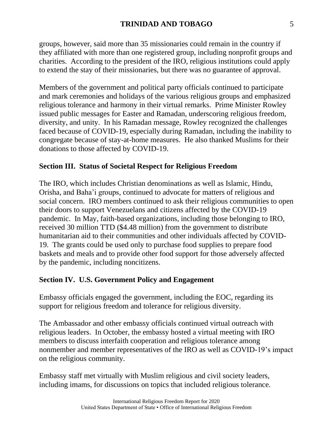groups, however, said more than 35 missionaries could remain in the country if they affiliated with more than one registered group, including nonprofit groups and charities. According to the president of the IRO, religious institutions could apply to extend the stay of their missionaries, but there was no guarantee of approval.

Members of the government and political party officials continued to participate and mark ceremonies and holidays of the various religious groups and emphasized religious tolerance and harmony in their virtual remarks. Prime Minister Rowley issued public messages for Easter and Ramadan, underscoring religious freedom, diversity, and unity. In his Ramadan message, Rowley recognized the challenges faced because of COVID-19, especially during Ramadan, including the inability to congregate because of stay-at-home measures. He also thanked Muslims for their donations to those affected by COVID-19.

### **Section III. Status of Societal Respect for Religious Freedom**

The IRO, which includes Christian denominations as well as Islamic, Hindu, Orisha, and Baha'i groups, continued to advocate for matters of religious and social concern. IRO members continued to ask their religious communities to open their doors to support Venezuelans and citizens affected by the COVID-19 pandemic. In May, faith-based organizations, including those belonging to IRO, received 30 million TTD (\$4.48 million) from the government to distribute humanitarian aid to their communities and other individuals affected by COVID-19. The grants could be used only to purchase food supplies to prepare food baskets and meals and to provide other food support for those adversely affected by the pandemic, including noncitizens.

### **Section IV. U.S. Government Policy and Engagement**

Embassy officials engaged the government, including the EOC, regarding its support for religious freedom and tolerance for religious diversity.

The Ambassador and other embassy officials continued virtual outreach with religious leaders. In October, the embassy hosted a virtual meeting with IRO members to discuss interfaith cooperation and religious tolerance among nonmember and member representatives of the IRO as well as COVID-19's impact on the religious community.

Embassy staff met virtually with Muslim religious and civil society leaders, including imams, for discussions on topics that included religious tolerance.